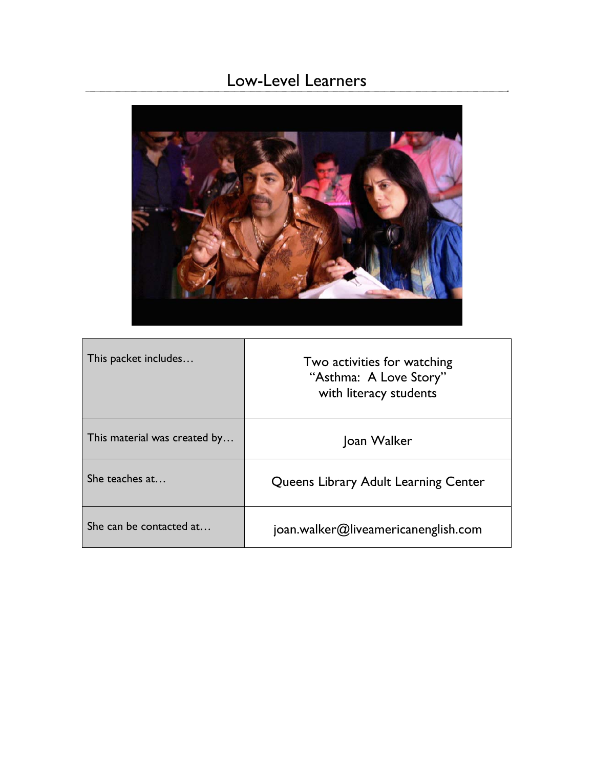# Low-Level Learners



| This packet includes         | Two activities for watching<br>"Asthma: A Love Story"<br>with literacy students |  |
|------------------------------|---------------------------------------------------------------------------------|--|
| This material was created by | Joan Walker                                                                     |  |
| She teaches at               | Queens Library Adult Learning Center                                            |  |
| She can be contacted at      | joan.walker@liveamericanenglish.com                                             |  |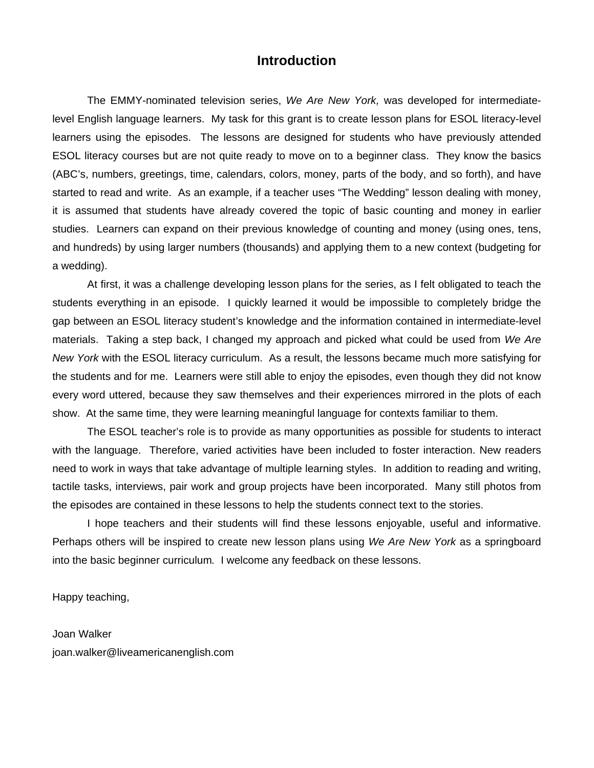#### **Introduction**

The EMMY-nominated television series, *We Are New York,* was developed for intermediatelevel English language learners. My task for this grant is to create lesson plans for ESOL literacy-level learners using the episodes. The lessons are designed for students who have previously attended ESOL literacy courses but are not quite ready to move on to a beginner class. They know the basics (ABC's, numbers, greetings, time, calendars, colors, money, parts of the body, and so forth), and have started to read and write. As an example, if a teacher uses "The Wedding" lesson dealing with money, it is assumed that students have already covered the topic of basic counting and money in earlier studies. Learners can expand on their previous knowledge of counting and money (using ones, tens, and hundreds) by using larger numbers (thousands) and applying them to a new context (budgeting for a wedding).

At first, it was a challenge developing lesson plans for the series, as I felt obligated to teach the students everything in an episode. I quickly learned it would be impossible to completely bridge the gap between an ESOL literacy student's knowledge and the information contained in intermediate-level materials. Taking a step back, I changed my approach and picked what could be used from *We Are New York* with the ESOL literacy curriculum. As a result, the lessons became much more satisfying for the students and for me. Learners were still able to enjoy the episodes, even though they did not know every word uttered, because they saw themselves and their experiences mirrored in the plots of each show. At the same time, they were learning meaningful language for contexts familiar to them.

The ESOL teacher's role is to provide as many opportunities as possible for students to interact with the language. Therefore, varied activities have been included to foster interaction. New readers need to work in ways that take advantage of multiple learning styles. In addition to reading and writing, tactile tasks, interviews, pair work and group projects have been incorporated. Many still photos from the episodes are contained in these lessons to help the students connect text to the stories.

I hope teachers and their students will find these lessons enjoyable, useful and informative. Perhaps others will be inspired to create new lesson plans using *We Are New York* as a springboard into the basic beginner curriculum*.* I welcome any feedback on these lessons.

Happy teaching,

Joan Walker joan.walker@liveamericanenglish.com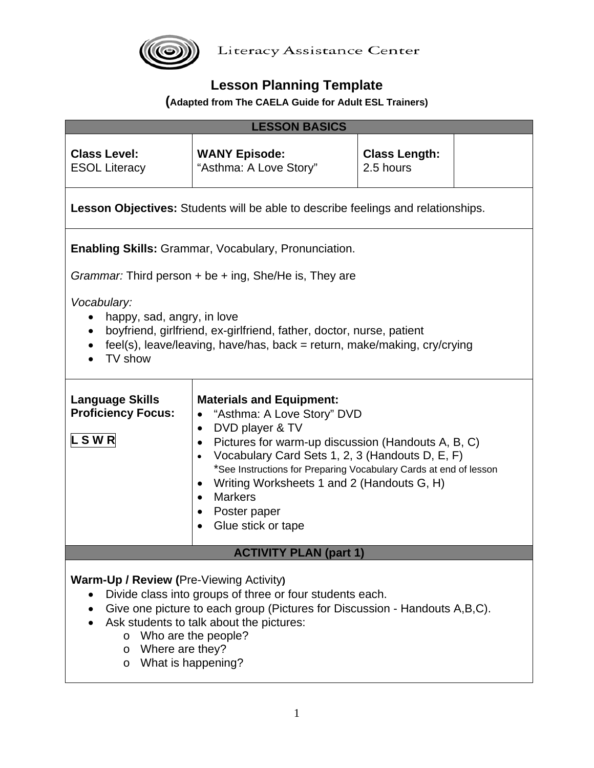

## **Lesson Planning Template**

### **(Adapted from The CAELA Guide for Adult ESL Trainers)**

| <b>LESSON BASICS</b>                                                                                                                                                                                                                                                                                                                                                                                                                                                                                                                       |                                                                                         |                                   |  |
|--------------------------------------------------------------------------------------------------------------------------------------------------------------------------------------------------------------------------------------------------------------------------------------------------------------------------------------------------------------------------------------------------------------------------------------------------------------------------------------------------------------------------------------------|-----------------------------------------------------------------------------------------|-----------------------------------|--|
| <b>Class Level:</b><br><b>ESOL Literacy</b>                                                                                                                                                                                                                                                                                                                                                                                                                                                                                                | <b>WANY Episode:</b><br>"Asthma: A Love Story"                                          | <b>Class Length:</b><br>2.5 hours |  |
|                                                                                                                                                                                                                                                                                                                                                                                                                                                                                                                                            | <b>Lesson Objectives:</b> Students will be able to describe feelings and relationships. |                                   |  |
|                                                                                                                                                                                                                                                                                                                                                                                                                                                                                                                                            | Enabling Skills: Grammar, Vocabulary, Pronunciation.                                    |                                   |  |
|                                                                                                                                                                                                                                                                                                                                                                                                                                                                                                                                            | Grammar: Third person + be + ing, She/He is, They are                                   |                                   |  |
| Vocabulary:<br>happy, sad, angry, in love<br>$\bullet$<br>boyfriend, girlfriend, ex-girlfriend, father, doctor, nurse, patient<br>$\bullet$<br>feel(s), leave/leaving, have/has, back = return, make/making, cry/crying<br>TV show                                                                                                                                                                                                                                                                                                         |                                                                                         |                                   |  |
| <b>Language Skills</b><br><b>Materials and Equipment:</b><br><b>Proficiency Focus:</b><br>"Asthma: A Love Story" DVD<br>$\bullet$<br>DVD player & TV<br>$\bullet$<br><b>LSWR</b><br>Pictures for warm-up discussion (Handouts A, B, C)<br>$\bullet$<br>Vocabulary Card Sets 1, 2, 3 (Handouts D, E, F)<br>$\bullet$<br>*See Instructions for Preparing Vocabulary Cards at end of lesson<br>Writing Worksheets 1 and 2 (Handouts G, H)<br>$\bullet$<br><b>Markers</b><br>$\bullet$<br>Poster paper<br>٠<br>Glue stick or tape<br>$\bullet$ |                                                                                         |                                   |  |
| <b>ACTIVITY PLAN (part 1)</b>                                                                                                                                                                                                                                                                                                                                                                                                                                                                                                              |                                                                                         |                                   |  |
| <b>Warm-Up / Review (Pre-Viewing Activity)</b><br>Divide class into groups of three or four students each.<br>Give one picture to each group (Pictures for Discussion - Handouts A,B,C).<br>$\bullet$<br>Ask students to talk about the pictures:<br>$\circ$ Who are the people?<br>o Where are they?<br>o What is happening?                                                                                                                                                                                                              |                                                                                         |                                   |  |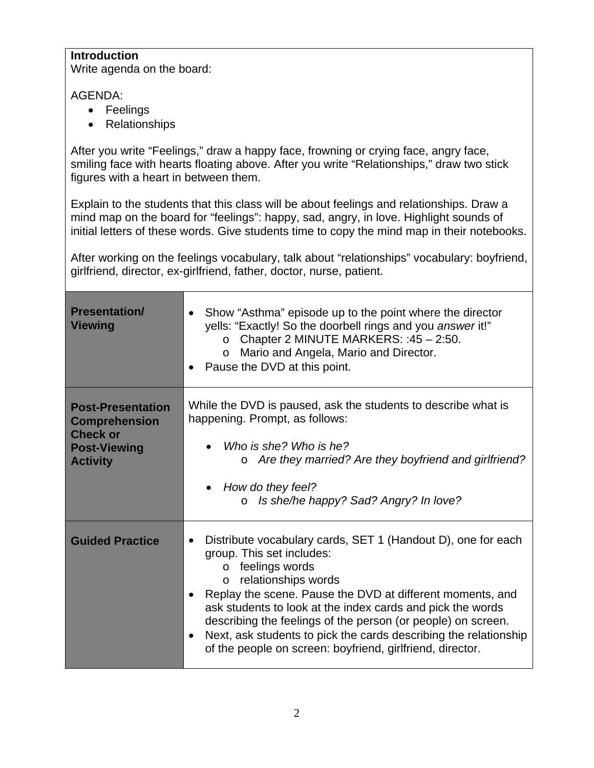#### **Introduction**

Write agenda on the board:

AGENDA:

- Feelings
- Relationships

After you write "Feelings," draw a happy face, frowning or crying face, angry face, smiling face with hearts floating above. After you write "Relationships," draw two stick figures with a heart in between them.

Explain to the students that this class will be about feelings and relationships. Draw a mind map on the board for "feelings": happy, sad, angry, in love. Highlight sounds of initial letters of these words. Give students time to copy the mind map in their notebooks.

After working on the feelings vocabulary, talk about "relationships" vocabulary: boyfriend, girlfriend, director, ex-girlfriend, father, doctor, nurse, patient.

| <b>Presentation/</b><br><b>Viewing</b>                                                                        | Show "Asthma" episode up to the point where the director<br>yells: "Exactly! So the doorbell rings and you answer it!"<br>Chapter 2 MINUTE MARKERS: : 45 - 2:50.<br>$\circ$<br>Mario and Angela, Mario and Director.<br>$\circ$<br>Pause the DVD at this point.                                                                                                                                                                                                                                                     |  |
|---------------------------------------------------------------------------------------------------------------|---------------------------------------------------------------------------------------------------------------------------------------------------------------------------------------------------------------------------------------------------------------------------------------------------------------------------------------------------------------------------------------------------------------------------------------------------------------------------------------------------------------------|--|
| <b>Post-Presentation</b><br><b>Comprehension</b><br><b>Check or</b><br><b>Post-Viewing</b><br><b>Activity</b> | While the DVD is paused, ask the students to describe what is<br>happening. Prompt, as follows:<br>Who is she? Who is he?<br>Are they married? Are they boyfriend and girlfriend?<br>How do they feel?<br>Is she/he happy? Sad? Angry? In love?<br>$\Omega$                                                                                                                                                                                                                                                         |  |
| <b>Guided Practice</b>                                                                                        | Distribute vocabulary cards, SET 1 (Handout D), one for each<br>٠<br>group. This set includes:<br>feelings words<br>$\circ$<br>relationships words<br>$\circ$<br>Replay the scene. Pause the DVD at different moments, and<br>$\bullet$<br>ask students to look at the index cards and pick the words<br>describing the feelings of the person (or people) on screen.<br>Next, ask students to pick the cards describing the relationship<br>$\bullet$<br>of the people on screen: boyfriend, girlfriend, director. |  |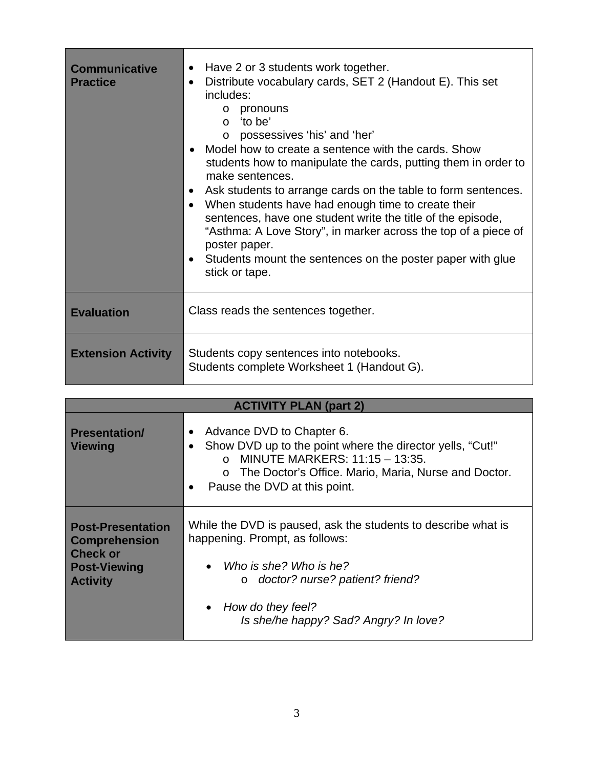| <b>Communicative</b><br><b>Practice</b> | Have 2 or 3 students work together.<br>$\bullet$<br>Distribute vocabulary cards, SET 2 (Handout E). This set<br>$\bullet$<br>includes:<br>pronouns<br>$\circ$<br>o 'to be'<br>o possessives 'his' and 'her'<br>Model how to create a sentence with the cards. Show<br>students how to manipulate the cards, putting them in order to<br>make sentences.<br>Ask students to arrange cards on the table to form sentences.<br>$\bullet$<br>When students have had enough time to create their<br>$\bullet$<br>sentences, have one student write the title of the episode,<br>"Asthma: A Love Story", in marker across the top of a piece of<br>poster paper.<br>Students mount the sentences on the poster paper with glue<br>stick or tape. |
|-----------------------------------------|--------------------------------------------------------------------------------------------------------------------------------------------------------------------------------------------------------------------------------------------------------------------------------------------------------------------------------------------------------------------------------------------------------------------------------------------------------------------------------------------------------------------------------------------------------------------------------------------------------------------------------------------------------------------------------------------------------------------------------------------|
| <b>Evaluation</b>                       | Class reads the sentences together.                                                                                                                                                                                                                                                                                                                                                                                                                                                                                                                                                                                                                                                                                                        |
| <b>Extension Activity</b>               | Students copy sentences into notebooks.<br>Students complete Worksheet 1 (Handout G).                                                                                                                                                                                                                                                                                                                                                                                                                                                                                                                                                                                                                                                      |

| <b>ACTIVITY PLAN (part 2)</b>                                                                                 |                                                                                                                                                                                                                                                      |  |  |
|---------------------------------------------------------------------------------------------------------------|------------------------------------------------------------------------------------------------------------------------------------------------------------------------------------------------------------------------------------------------------|--|--|
| <b>Presentation/</b><br><b>Viewing</b>                                                                        | Advance DVD to Chapter 6.<br>Show DVD up to the point where the director yells, "Cut!"<br>$\bullet$<br>o MINUTE MARKERS: $11:15 - 13:35$ .<br>o The Doctor's Office. Mario, Maria, Nurse and Doctor.<br>Pause the DVD at this point.<br>$\bullet$    |  |  |
| <b>Post-Presentation</b><br><b>Comprehension</b><br><b>Check or</b><br><b>Post-Viewing</b><br><b>Activity</b> | While the DVD is paused, ask the students to describe what is<br>happening. Prompt, as follows:<br>• Who is she? Who is he?<br>doctor? nurse? patient? friend?<br>$\circ$<br>How do they feel?<br>$\bullet$<br>Is she/he happy? Sad? Angry? In love? |  |  |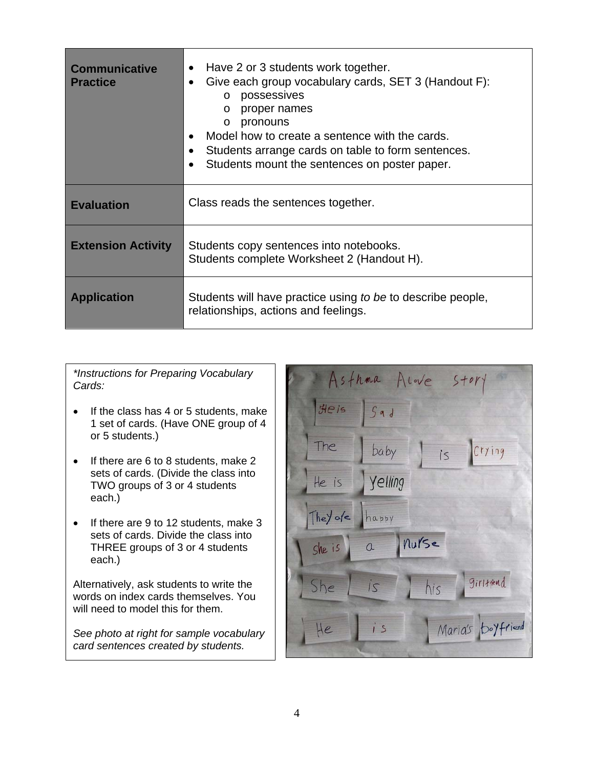| <b>Communicative</b><br><b>Practice</b> | Have 2 or 3 students work together.<br>$\bullet$<br>Give each group vocabulary cards, SET 3 (Handout F):<br>possessives<br>$\circ$<br>proper names<br>$\circ$<br>pronouns<br>$\circ$<br>Model how to create a sentence with the cards.<br>Students arrange cards on table to form sentences.<br>Students mount the sentences on poster paper. |  |
|-----------------------------------------|-----------------------------------------------------------------------------------------------------------------------------------------------------------------------------------------------------------------------------------------------------------------------------------------------------------------------------------------------|--|
| <b>Evaluation</b>                       | Class reads the sentences together.                                                                                                                                                                                                                                                                                                           |  |
| <b>Extension Activity</b>               | Students copy sentences into notebooks.<br>Students complete Worksheet 2 (Handout H).                                                                                                                                                                                                                                                         |  |
| <b>Application</b>                      | Students will have practice using to be to describe people,<br>relationships, actions and feelings.                                                                                                                                                                                                                                           |  |

*\*Instructions for Preparing Vocabulary Cards:* 

- If the class has 4 or 5 students, make 1 set of cards. (Have ONE group of 4 or 5 students.)
- If there are 6 to 8 students, make 2 sets of cards. (Divide the class into TWO groups of 3 or 4 students each.)
- If there are 9 to 12 students, make 3 sets of cards. Divide the class into THREE groups of 3 or 4 students each.)

Alternatively, ask students to write the words on index cards themselves. You will need to model this for them.

*See photo at right for sample vocabulary card sentences created by students.* 

| Asthma Alove<br>$5+0r$ |         |                   |  |
|------------------------|---------|-------------------|--|
| Heis                   | 5ad     |                   |  |
| The                    | baby    | is Crying         |  |
| He is                  | yelling |                   |  |
| They are               | happy   |                   |  |
| $She$ is               | a Murse |                   |  |
| She                    | 15      | girlspend<br>his  |  |
| He                     | i s     | Maria's boyfriend |  |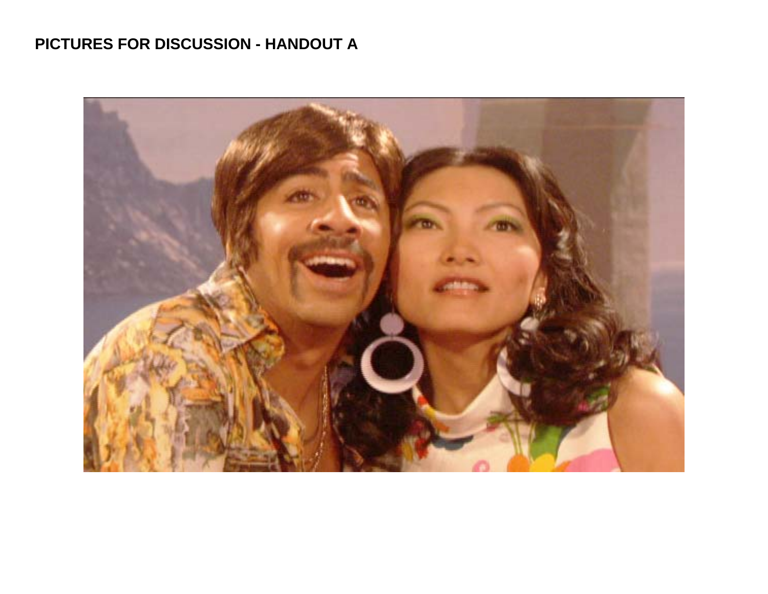# **PICTURES FOR DISCUSSION - HANDOUT A**

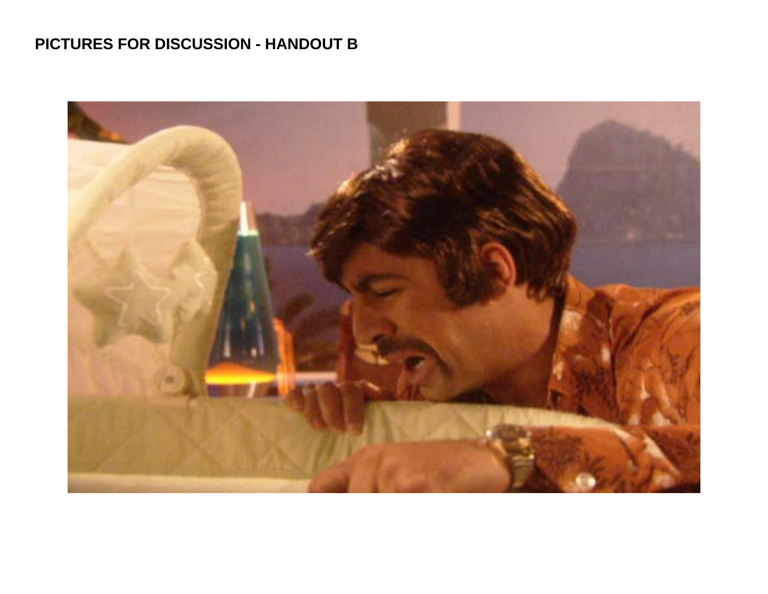# **PICTURES FOR DISCUSSION - HANDOUT B**

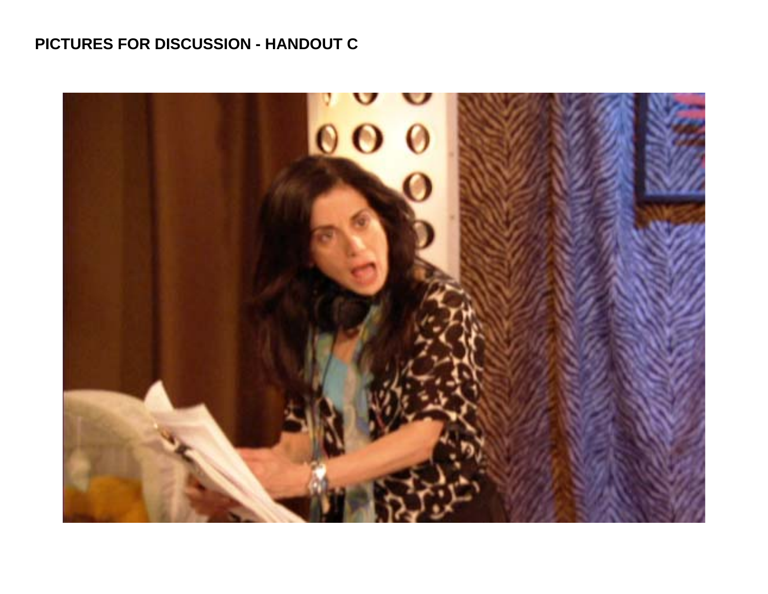## **PICTURES FOR DISCUSSION - HANDOUT C**

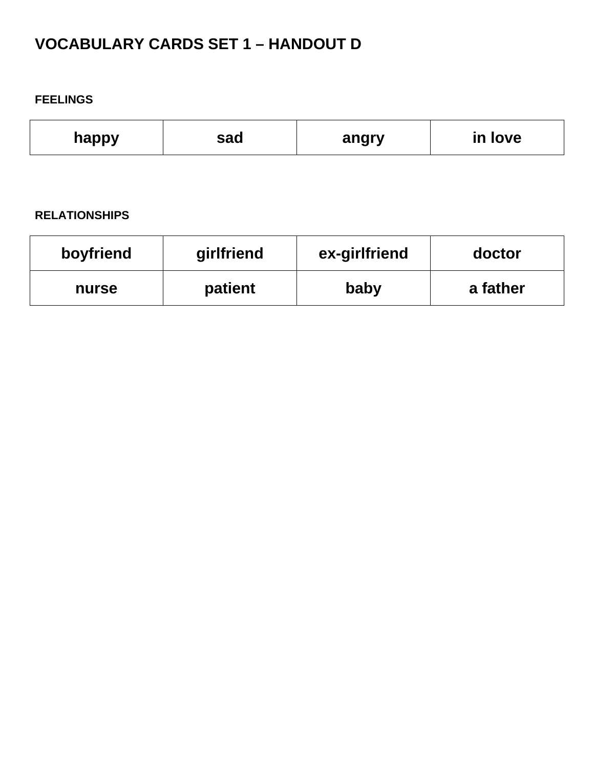# **VOCABULARY CARDS SET 1 – HANDOUT D**

#### **FEELINGS**

| happy | sad | angry | love<br>in |
|-------|-----|-------|------------|
|-------|-----|-------|------------|

#### **RELATIONSHIPS**

| boyfriend | girlfriend | ex-girlfriend | doctor   |
|-----------|------------|---------------|----------|
| nurse     | patient    | baby          | a father |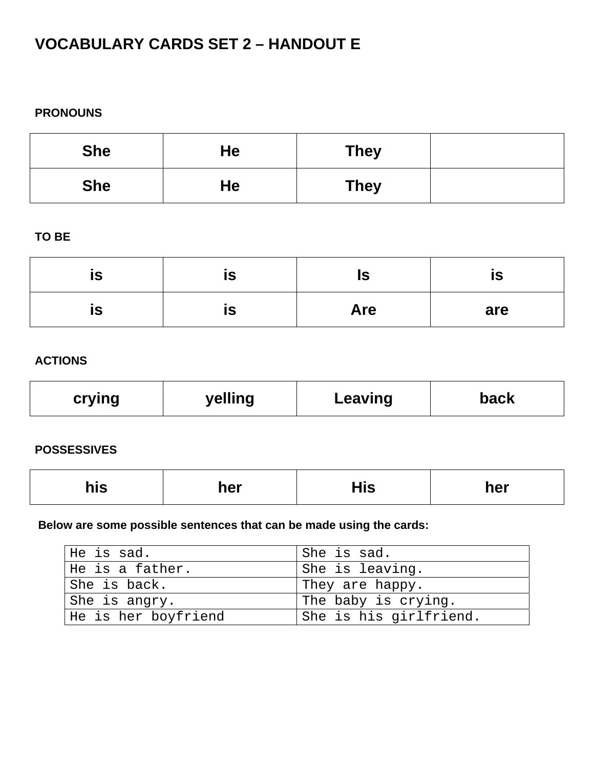# **VOCABULARY CARDS SET 2 – HANDOUT E**

#### **PRONOUNS**

| <b>She</b> | He | <b>They</b> |  |
|------------|----|-------------|--|
| <b>She</b> | He | <b>They</b> |  |

### **TO BE**

| <b>IS</b> | IS | הו<br>15   | IS. |
|-----------|----|------------|-----|
| <b>IS</b> | IS | <b>Are</b> | are |

### **ACTIONS**

| crying | yelling | Leaving | back |
|--------|---------|---------|------|
|        |         |         |      |

### **POSSESSIVES**

| his | her | His | her |
|-----|-----|-----|-----|
|     |     |     |     |

### **Below are some possible sentences that can be made using the cards:**

| He is sad.          | I She is sad.          |
|---------------------|------------------------|
| He is a father.     | She is leaving.        |
| She is back.        | They are happy.        |
| She is angry.       | The baby is crying.    |
| He is her boyfriend | She is his girlfriend. |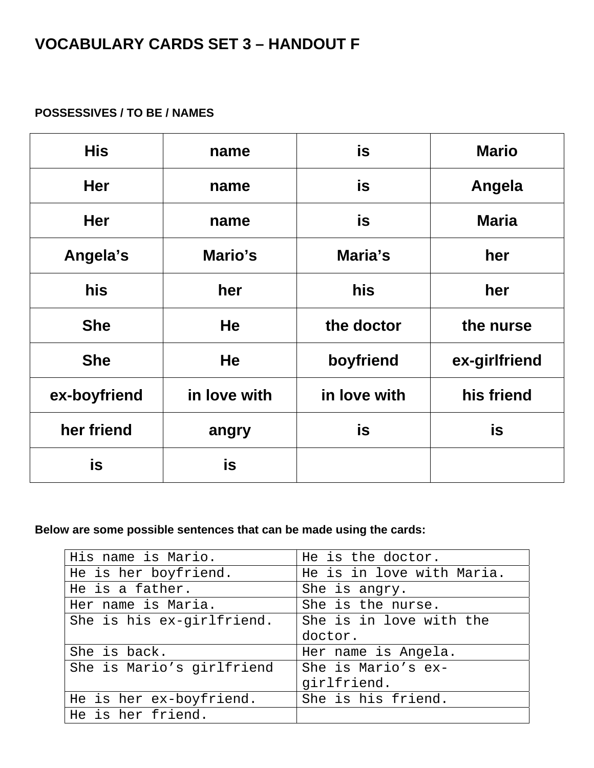## **VOCABULARY CARDS SET 3 – HANDOUT F**

### **POSSESSIVES / TO BE / NAMES**

| <b>His</b>   | name         | is           | <b>Mario</b>  |
|--------------|--------------|--------------|---------------|
| <b>Her</b>   | name         | is           | Angela        |
| <b>Her</b>   | name         | is           | <b>Maria</b>  |
| Angela's     | Mario's      | Maria's      | her           |
| his          | her          | his          | her           |
| <b>She</b>   | <b>He</b>    | the doctor   | the nurse     |
| <b>She</b>   | <b>He</b>    | boyfriend    | ex-girlfriend |
| ex-boyfriend | in love with | in love with | his friend    |
| her friend   | angry        | is           | is            |
| is           | is           |              |               |

### **Below are some possible sentences that can be made using the cards:**

| His name is Mario.        | He is the doctor.         |  |
|---------------------------|---------------------------|--|
| He is her boyfriend.      | He is in love with Maria. |  |
| He is a father.           | She is angry.             |  |
| Her name is Maria.        | She is the nurse.         |  |
| She is his ex-girlfriend. | She is in love with the   |  |
|                           | doctor.                   |  |
| She is back.              | Her name is Angela.       |  |
| She is Mario's girlfriend | She is Mario's ex-        |  |
|                           | girlfriend.               |  |
| He is her ex-boyfriend.   | She is his friend.        |  |
| He is her friend.         |                           |  |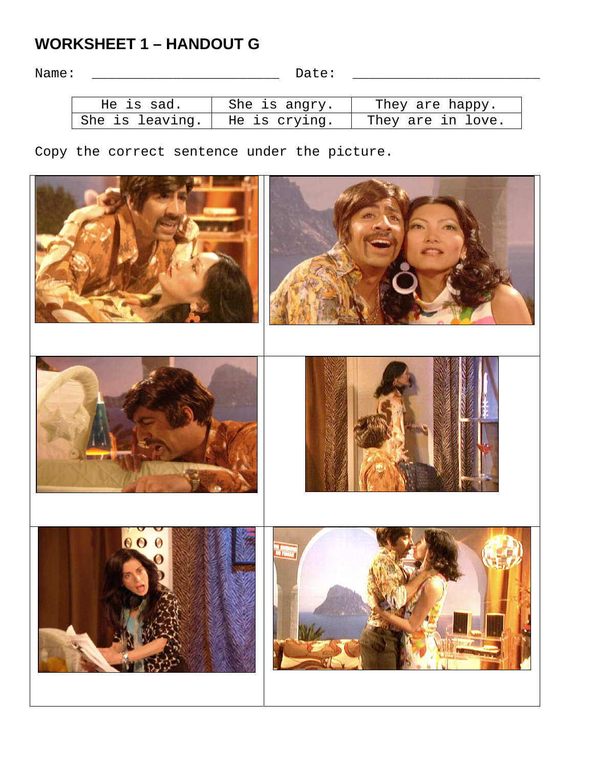## **WORKSHEET 1 – HANDOUT G**

Name: \_\_\_\_\_\_\_\_\_\_\_\_\_\_\_\_\_\_\_\_\_\_\_ Date: \_\_\_\_\_\_\_\_\_\_\_\_\_\_\_\_\_\_\_\_\_\_\_

| He is sad.      | She is angry. | They are happy.   |
|-----------------|---------------|-------------------|
| She is leaving. | He is crying. | They are in love. |

Copy the correct sentence under the picture.